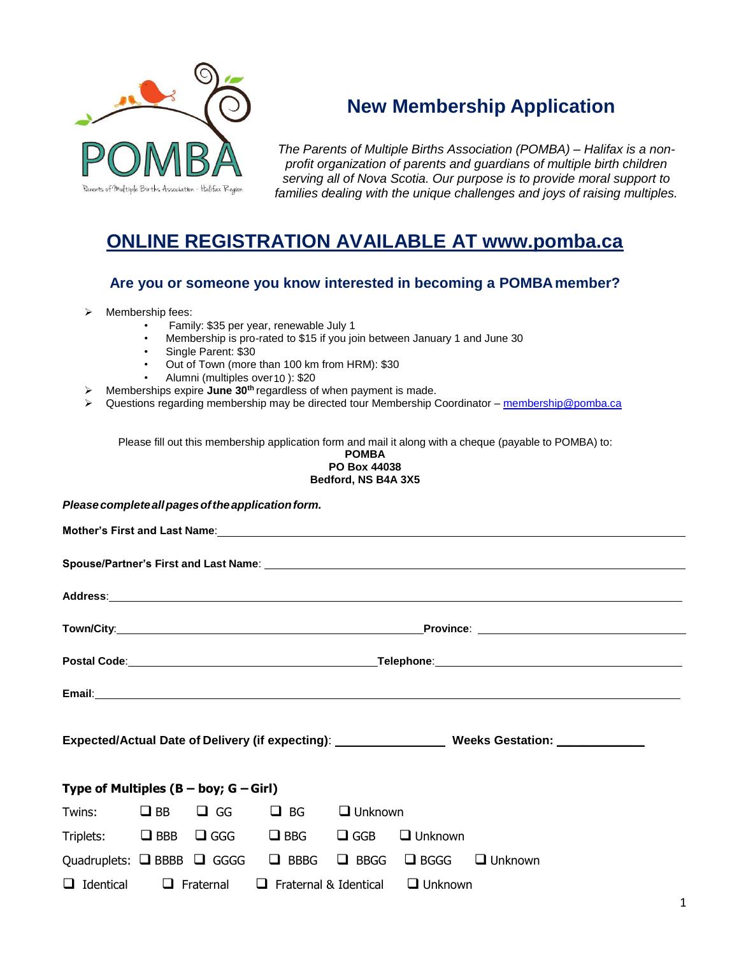

# **New Membership Application**

*The Parents of Multiple Births Association (POMBA) – Halifax is a nonprofit organization of parents and guardians of multiple birth children serving all of Nova Scotia. Our purpose is to provide moral support to families dealing with the unique challenges and joys of raising multiples.*

## **ONLINE REGISTRATION AVAILABLE AT www.pomba.ca**

### **Are you or someone you know interested in becoming a POMBAmember?**

- $\triangleright$  Membership fees:
	- Family: \$35 per year, renewable July 1
	- Membership is pro-rated to \$15 if you join between January 1 and June 30
	- Single Parent: \$30
	- Out of Town (more than 100 km from HRM): \$30
	- Alumni (multiples over 10): \$20
- Memberships expire **June 30th** regardless of when payment is made.
- $\triangleright$  Questions regarding membership may be directed tour Membership Coordinator [membership@pomba.ca](mailto:membership@pomba.ca)

Please fill out this membership application form and mail it along with a cheque (payable to POMBA) to:

#### **POMBA PO Box 44038 Bedford, NS B4A 3X5**

### *Pleasecompleteallpagesoftheapplicationform.*

| Expected/Actual Date of Delivery (if expecting): ____________________ Weeks Gestation: ____________ |  |                  |                                                       |  |                         |                |  |
|-----------------------------------------------------------------------------------------------------|--|------------------|-------------------------------------------------------|--|-------------------------|----------------|--|
| Type of Multiples $(B - boy; G - Girl)$                                                             |  |                  |                                                       |  |                         |                |  |
|                                                                                                     |  |                  | Twins: □ BB □ GG □ BG □ Unknown                       |  |                         |                |  |
|                                                                                                     |  |                  | Triplets: $\Box$ BBB $\Box$ GGG $\Box$ BBG $\Box$ GGB |  | $\Box$ Unknown          |                |  |
| Quadruplets: $\Box$ BBBB $\Box$ GGGG $\Box$ BBBG                                                    |  |                  |                                                       |  | $\Box$ BBGG $\Box$ BGGG | $\Box$ Unknown |  |
| $\Box$ Identical                                                                                    |  | $\Box$ Fraternal | $\Box$ Fraternal & Identical                          |  | $\Box$ Unknown          |                |  |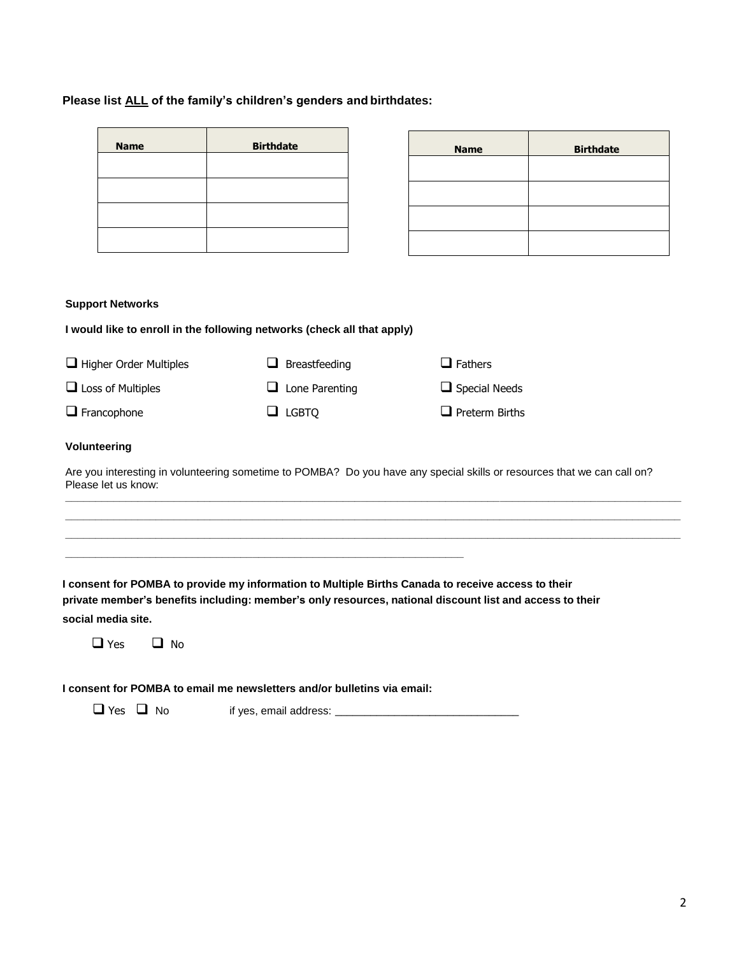## **Please list ALL of the family's children's genders and birthdates:**

| <b>Name</b>                                                             | <b>Birthdate</b>      | <b>Name</b>                                                                                                             | <b>Birthdate</b> |  |  |
|-------------------------------------------------------------------------|-----------------------|-------------------------------------------------------------------------------------------------------------------------|------------------|--|--|
|                                                                         |                       |                                                                                                                         |                  |  |  |
|                                                                         |                       |                                                                                                                         |                  |  |  |
|                                                                         |                       |                                                                                                                         |                  |  |  |
|                                                                         |                       |                                                                                                                         |                  |  |  |
|                                                                         |                       |                                                                                                                         |                  |  |  |
|                                                                         |                       |                                                                                                                         |                  |  |  |
| <b>Support Networks</b>                                                 |                       |                                                                                                                         |                  |  |  |
| I would like to enroll in the following networks (check all that apply) |                       |                                                                                                                         |                  |  |  |
| $\Box$ Higher Order Multiples                                           | Breastfeeding<br>⊔    | $\Box$ Fathers                                                                                                          |                  |  |  |
| $\Box$ Loss of Multiples                                                | $\Box$ Lone Parenting | $\Box$ Special Needs                                                                                                    |                  |  |  |
| $\Box$ Francophone                                                      | $\Box$ LGBTQ          | $\Box$ Preterm Births                                                                                                   |                  |  |  |
| Volunteering                                                            |                       |                                                                                                                         |                  |  |  |
| Please let us know:                                                     |                       | Are you interesting in volunteering sometime to POMBA? Do you have any special skills or resources that we can call on? |                  |  |  |
|                                                                         |                       |                                                                                                                         |                  |  |  |
|                                                                         |                       |                                                                                                                         |                  |  |  |
|                                                                         |                       |                                                                                                                         |                  |  |  |
|                                                                         |                       | I consent for POMBA to provide my information to Multiple Births Canada to receive access to their                      |                  |  |  |
|                                                                         |                       | private member's benefits including: member's only resources, national discount list and access to their                |                  |  |  |
| social media site.                                                      |                       |                                                                                                                         |                  |  |  |
| $\Box$ Yes<br>$\Box$ No                                                 |                       |                                                                                                                         |                  |  |  |
|                                                                         |                       |                                                                                                                         |                  |  |  |
| I consent for POMBA to email me newsletters and/or bulletins via email: |                       |                                                                                                                         |                  |  |  |

Yes No if yes, email address: \_\_\_\_\_\_\_\_\_\_\_\_\_\_\_\_\_\_\_\_\_\_\_\_\_\_\_\_\_\_\_